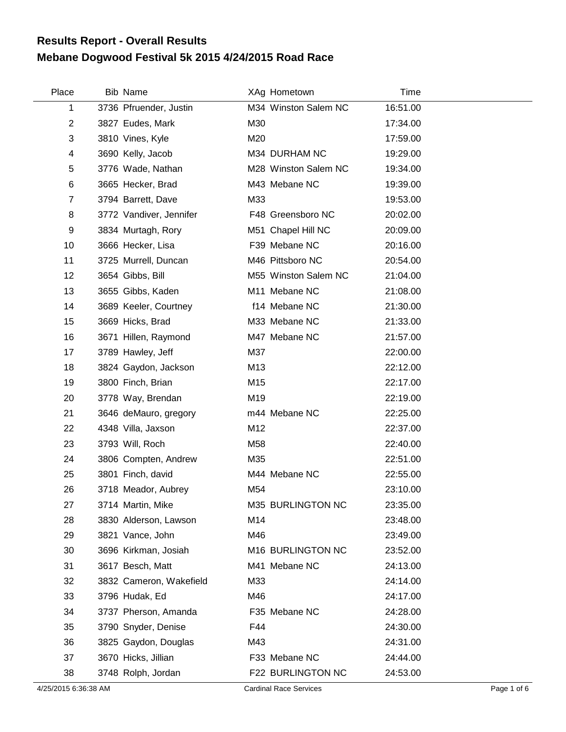## **Mebane Dogwood Festival 5k 2015 4/24/2015 Road Race Results Report - Overall Results**

| Place          | <b>Bib Name</b>         |                 | XAg Hometown         | Time     |  |
|----------------|-------------------------|-----------------|----------------------|----------|--|
| 1              | 3736 Pfruender, Justin  |                 | M34 Winston Salem NC | 16:51.00 |  |
| $\overline{2}$ | 3827 Eudes, Mark        | M30             |                      | 17:34.00 |  |
| 3              | 3810 Vines, Kyle        | M20             |                      | 17:59.00 |  |
| 4              | 3690 Kelly, Jacob       |                 | M34 DURHAM NC        | 19:29.00 |  |
| 5              | 3776 Wade, Nathan       |                 | M28 Winston Salem NC | 19:34.00 |  |
| 6              | 3665 Hecker, Brad       |                 | M43 Mebane NC        | 19:39.00 |  |
| $\overline{7}$ | 3794 Barrett, Dave      | M33             |                      | 19:53.00 |  |
| 8              | 3772 Vandiver, Jennifer |                 | F48 Greensboro NC    | 20:02.00 |  |
| 9              | 3834 Murtagh, Rory      |                 | M51 Chapel Hill NC   | 20:09.00 |  |
| 10             | 3666 Hecker, Lisa       |                 | F39 Mebane NC        | 20:16.00 |  |
| 11             | 3725 Murrell, Duncan    |                 | M46 Pittsboro NC     | 20:54.00 |  |
| 12             | 3654 Gibbs, Bill        |                 | M55 Winston Salem NC | 21:04.00 |  |
| 13             | 3655 Gibbs, Kaden       |                 | M11 Mebane NC        | 21:08.00 |  |
| 14             | 3689 Keeler, Courtney   |                 | f14 Mebane NC        | 21:30.00 |  |
| 15             | 3669 Hicks, Brad        |                 | M33 Mebane NC        | 21:33.00 |  |
| 16             | 3671 Hillen, Raymond    |                 | M47 Mebane NC        | 21:57.00 |  |
| 17             | 3789 Hawley, Jeff       | M37             |                      | 22:00.00 |  |
| 18             | 3824 Gaydon, Jackson    | M <sub>13</sub> |                      | 22:12.00 |  |
| 19             | 3800 Finch, Brian       | M15             |                      | 22:17.00 |  |
| 20             | 3778 Way, Brendan       | M19             |                      | 22:19.00 |  |
| 21             | 3646 deMauro, gregory   |                 | m44 Mebane NC        | 22:25.00 |  |
| 22             | 4348 Villa, Jaxson      | M12             |                      | 22:37.00 |  |
| 23             | 3793 Will, Roch         | M58             |                      | 22:40.00 |  |
| 24             | 3806 Compten, Andrew    | M35             |                      | 22:51.00 |  |
| 25             | 3801 Finch, david       |                 | M44 Mebane NC        | 22:55.00 |  |
| 26             | 3718 Meador, Aubrey     | M54             |                      | 23:10.00 |  |
| 27             | 3714 Martin, Mike       |                 | M35 BURLINGTON NC    | 23:35.00 |  |
| 28             | 3830 Alderson, Lawson   | M14             |                      | 23:48.00 |  |
| 29             | 3821 Vance, John        | M46             |                      | 23:49.00 |  |
| 30             | 3696 Kirkman, Josiah    |                 | M16 BURLINGTON NC    | 23:52.00 |  |
| 31             | 3617 Besch, Matt        |                 | M41 Mebane NC        | 24:13.00 |  |
| 32             | 3832 Cameron, Wakefield | M33             |                      | 24:14.00 |  |
| 33             | 3796 Hudak, Ed          | M46             |                      | 24:17.00 |  |
| 34             | 3737 Pherson, Amanda    |                 | F35 Mebane NC        | 24:28.00 |  |
| 35             | 3790 Snyder, Denise     | F44             |                      | 24:30.00 |  |
| 36             | 3825 Gaydon, Douglas    | M43             |                      | 24:31.00 |  |
| 37             | 3670 Hicks, Jillian     |                 | F33 Mebane NC        | 24:44.00 |  |
| 38             | 3748 Rolph, Jordan      |                 | F22 BURLINGTON NC    | 24:53.00 |  |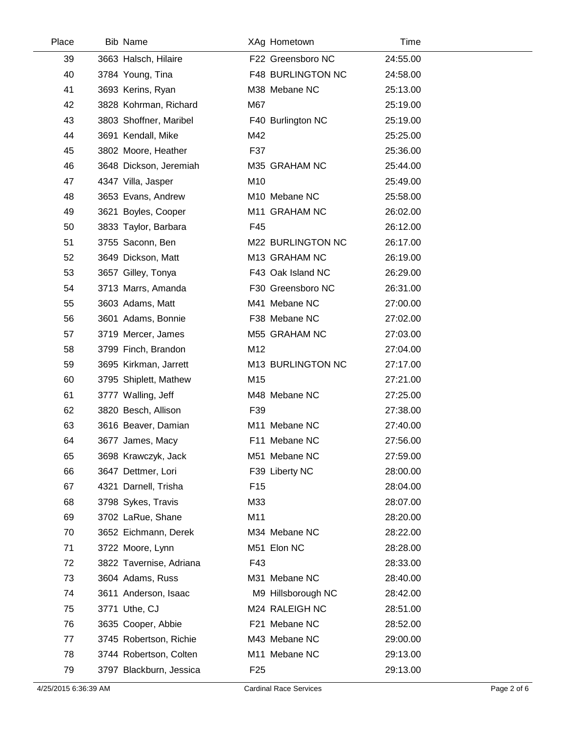| Place | <b>Bib Name</b>         | XAg Hometown             | Time     |  |
|-------|-------------------------|--------------------------|----------|--|
| 39    | 3663 Halsch, Hilaire    | F22 Greensboro NC        | 24:55.00 |  |
| 40    | 3784 Young, Tina        | <b>F48 BURLINGTON NC</b> | 24:58.00 |  |
| 41    | 3693 Kerins, Ryan       | M38 Mebane NC            | 25:13.00 |  |
| 42    | 3828 Kohrman, Richard   | M67                      | 25:19.00 |  |
| 43    | 3803 Shoffner, Maribel  | F40 Burlington NC        | 25:19.00 |  |
| 44    | 3691 Kendall, Mike      | M42                      | 25:25.00 |  |
| 45    | 3802 Moore, Heather     | F37                      | 25:36.00 |  |
| 46    | 3648 Dickson, Jeremiah  | M35 GRAHAM NC            | 25:44.00 |  |
| 47    | 4347 Villa, Jasper      | M10                      | 25:49.00 |  |
| 48    | 3653 Evans, Andrew      | M10 Mebane NC            | 25:58.00 |  |
| 49    | 3621 Boyles, Cooper     | M11 GRAHAM NC            | 26:02.00 |  |
| 50    | 3833 Taylor, Barbara    | F45                      | 26:12.00 |  |
| 51    | 3755 Saconn, Ben        | M22 BURLINGTON NC        | 26:17.00 |  |
| 52    | 3649 Dickson, Matt      | M13 GRAHAM NC            | 26:19.00 |  |
| 53    | 3657 Gilley, Tonya      | F43 Oak Island NC        | 26:29.00 |  |
| 54    | 3713 Marrs, Amanda      | F30 Greensboro NC        | 26:31.00 |  |
| 55    | 3603 Adams, Matt        | M41 Mebane NC            | 27:00.00 |  |
| 56    | 3601 Adams, Bonnie      | F38 Mebane NC            | 27:02.00 |  |
| 57    | 3719 Mercer, James      | M55 GRAHAM NC            | 27:03.00 |  |
| 58    | 3799 Finch, Brandon     | M12                      | 27:04.00 |  |
| 59    | 3695 Kirkman, Jarrett   | M13 BURLINGTON NC        | 27:17.00 |  |
| 60    | 3795 Shiplett, Mathew   | M15                      | 27:21.00 |  |
| 61    | 3777 Walling, Jeff      | M48 Mebane NC            | 27:25.00 |  |
| 62    | 3820 Besch, Allison     | F39                      | 27:38.00 |  |
| 63    | 3616 Beaver, Damian     | M11 Mebane NC            | 27:40.00 |  |
| 64    | 3677 James, Macy        | F11 Mebane NC            | 27:56.00 |  |
| 65    | 3698 Krawczyk, Jack     | M51 Mebane NC            | 27:59.00 |  |
| 66    | 3647 Dettmer, Lori      | F39 Liberty NC           | 28:00.00 |  |
| 67    | 4321 Darnell, Trisha    | F <sub>15</sub>          | 28:04.00 |  |
| 68    | 3798 Sykes, Travis      | M33                      | 28:07.00 |  |
| 69    | 3702 LaRue, Shane       | M11                      | 28:20.00 |  |
| 70    | 3652 Eichmann, Derek    | M34 Mebane NC            | 28:22.00 |  |
| 71    | 3722 Moore, Lynn        | M51 Elon NC              | 28:28.00 |  |
| 72    | 3822 Tavernise, Adriana | F43                      | 28:33.00 |  |
| 73    | 3604 Adams, Russ        | M31 Mebane NC            | 28:40.00 |  |
| 74    | 3611 Anderson, Isaac    | M9 Hillsborough NC       | 28:42.00 |  |
| 75    | 3771 Uthe, CJ           | M24 RALEIGH NC           | 28:51.00 |  |
| 76    | 3635 Cooper, Abbie      | F21 Mebane NC            | 28:52.00 |  |
| 77    | 3745 Robertson, Richie  | M43 Mebane NC            | 29:00.00 |  |
| 78    | 3744 Robertson, Colten  | M11 Mebane NC            | 29:13.00 |  |
| 79    | 3797 Blackburn, Jessica | F <sub>25</sub>          | 29:13.00 |  |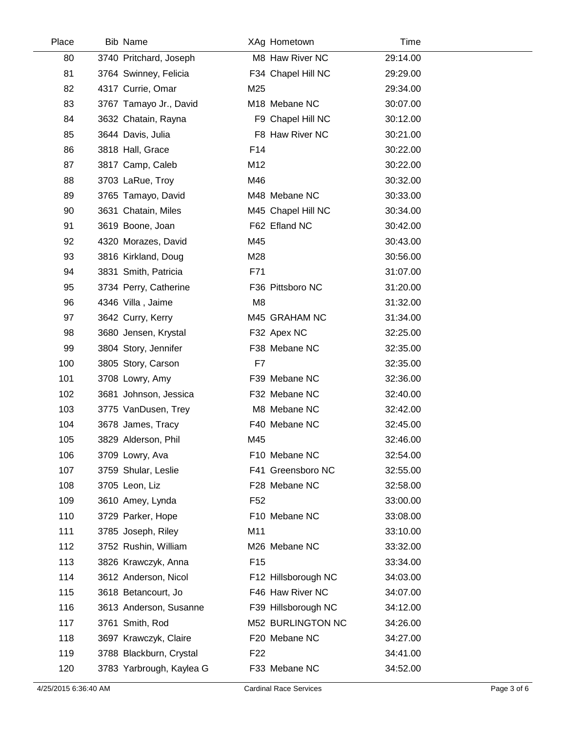| Place | <b>Bib Name</b>          | XAg Hometown        | Time     |  |
|-------|--------------------------|---------------------|----------|--|
| 80    | 3740 Pritchard, Joseph   | M8 Haw River NC     | 29:14.00 |  |
| 81    | 3764 Swinney, Felicia    | F34 Chapel Hill NC  | 29:29.00 |  |
| 82    | 4317 Currie, Omar        | M25                 | 29:34.00 |  |
| 83    | 3767 Tamayo Jr., David   | M18 Mebane NC       | 30:07.00 |  |
| 84    | 3632 Chatain, Rayna      | F9 Chapel Hill NC   | 30:12.00 |  |
| 85    | 3644 Davis, Julia        | F8 Haw River NC     | 30:21.00 |  |
| 86    | 3818 Hall, Grace         | F14                 | 30:22.00 |  |
| 87    | 3817 Camp, Caleb         | M12                 | 30:22.00 |  |
| 88    | 3703 LaRue, Troy         | M46                 | 30:32.00 |  |
| 89    | 3765 Tamayo, David       | M48 Mebane NC       | 30:33.00 |  |
| 90    | 3631 Chatain, Miles      | M45 Chapel Hill NC  | 30:34.00 |  |
| 91    | 3619 Boone, Joan         | F62 Efland NC       | 30:42.00 |  |
| 92    | 4320 Morazes, David      | M45                 | 30:43.00 |  |
| 93    | 3816 Kirkland, Doug      | M28                 | 30:56.00 |  |
| 94    | 3831 Smith, Patricia     | F71                 | 31:07.00 |  |
| 95    | 3734 Perry, Catherine    | F36 Pittsboro NC    | 31:20.00 |  |
| 96    | 4346 Villa, Jaime        | M <sub>8</sub>      | 31:32.00 |  |
| 97    | 3642 Curry, Kerry        | M45 GRAHAM NC       | 31:34.00 |  |
| 98    | 3680 Jensen, Krystal     | F32 Apex NC         | 32:25.00 |  |
| 99    | 3804 Story, Jennifer     | F38 Mebane NC       | 32:35.00 |  |
| 100   | 3805 Story, Carson       | F7                  | 32:35.00 |  |
| 101   | 3708 Lowry, Amy          | F39 Mebane NC       | 32:36.00 |  |
| 102   | 3681 Johnson, Jessica    | F32 Mebane NC       | 32:40.00 |  |
| 103   | 3775 VanDusen, Trey      | M8 Mebane NC        | 32:42.00 |  |
| 104   | 3678 James, Tracy        | F40 Mebane NC       | 32:45.00 |  |
| 105   | 3829 Alderson, Phil      | M45                 | 32:46.00 |  |
| 106   | 3709 Lowry, Ava          | F10 Mebane NC       | 32:54.00 |  |
| 107   | 3759 Shular, Leslie      | F41 Greensboro NC   | 32:55.00 |  |
| 108   | 3705 Leon, Liz           | F28 Mebane NC       | 32:58.00 |  |
| 109   | 3610 Amey, Lynda         | F <sub>52</sub>     | 33:00.00 |  |
| 110   | 3729 Parker, Hope        | F10 Mebane NC       | 33:08.00 |  |
| 111   | 3785 Joseph, Riley       | M11                 | 33:10.00 |  |
| 112   | 3752 Rushin, William     | M26 Mebane NC       | 33:32.00 |  |
| 113   | 3826 Krawczyk, Anna      | F <sub>15</sub>     | 33:34.00 |  |
| 114   | 3612 Anderson, Nicol     | F12 Hillsborough NC | 34:03.00 |  |
| 115   | 3618 Betancourt, Jo      | F46 Haw River NC    | 34:07.00 |  |
| 116   | 3613 Anderson, Susanne   | F39 Hillsborough NC | 34:12.00 |  |
| 117   | 3761 Smith, Rod          | M52 BURLINGTON NC   | 34:26.00 |  |
| 118   | 3697 Krawczyk, Claire    | F20 Mebane NC       | 34:27.00 |  |
| 119   | 3788 Blackburn, Crystal  | F <sub>22</sub>     | 34:41.00 |  |
| 120   | 3783 Yarbrough, Kaylea G | F33 Mebane NC       | 34:52.00 |  |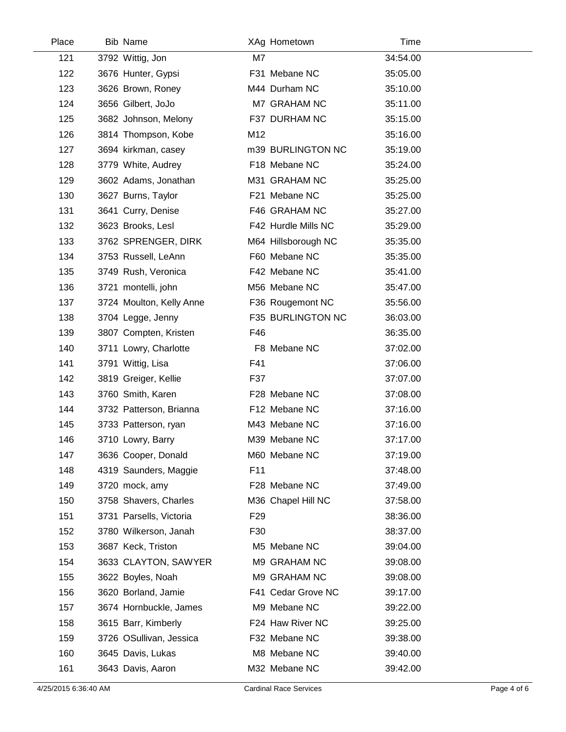| Place | Bib Name                 |                 | XAg Hometown        | Time     |
|-------|--------------------------|-----------------|---------------------|----------|
| 121   | 3792 Wittig, Jon         | M7              |                     | 34:54.00 |
| 122   | 3676 Hunter, Gypsi       |                 | F31 Mebane NC       | 35:05.00 |
| 123   | 3626 Brown, Roney        |                 | M44 Durham NC       | 35:10.00 |
| 124   | 3656 Gilbert, JoJo       |                 | M7 GRAHAM NC        | 35:11.00 |
| 125   | 3682 Johnson, Melony     |                 | F37 DURHAM NC       | 35:15.00 |
| 126   | 3814 Thompson, Kobe      | M12             |                     | 35:16.00 |
| 127   | 3694 kirkman, casey      |                 | m39 BURLINGTON NC   | 35:19.00 |
| 128   | 3779 White, Audrey       |                 | F18 Mebane NC       | 35:24.00 |
| 129   | 3602 Adams, Jonathan     |                 | M31 GRAHAM NC       | 35:25.00 |
| 130   | 3627 Burns, Taylor       |                 | F21 Mebane NC       | 35:25.00 |
| 131   | 3641 Curry, Denise       |                 | F46 GRAHAM NC       | 35:27.00 |
| 132   | 3623 Brooks, Lesl        |                 | F42 Hurdle Mills NC | 35:29.00 |
| 133   | 3762 SPRENGER, DIRK      |                 | M64 Hillsborough NC | 35:35.00 |
| 134   | 3753 Russell, LeAnn      |                 | F60 Mebane NC       | 35:35.00 |
| 135   | 3749 Rush, Veronica      |                 | F42 Mebane NC       | 35:41.00 |
| 136   | 3721 montelli, john      |                 | M56 Mebane NC       | 35:47.00 |
| 137   | 3724 Moulton, Kelly Anne |                 | F36 Rougemont NC    | 35:56.00 |
| 138   | 3704 Legge, Jenny        |                 | F35 BURLINGTON NC   | 36:03.00 |
| 139   | 3807 Compten, Kristen    | F46             |                     | 36:35.00 |
| 140   | 3711 Lowry, Charlotte    |                 | F8 Mebane NC        | 37:02.00 |
| 141   | 3791 Wittig, Lisa        | F41             |                     | 37:06.00 |
| 142   | 3819 Greiger, Kellie     | F37             |                     | 37:07.00 |
| 143   | 3760 Smith, Karen        |                 | F28 Mebane NC       | 37:08.00 |
| 144   | 3732 Patterson, Brianna  |                 | F12 Mebane NC       | 37:16.00 |
| 145   | 3733 Patterson, ryan     |                 | M43 Mebane NC       | 37:16.00 |
| 146   | 3710 Lowry, Barry        |                 | M39 Mebane NC       | 37:17.00 |
| 147   | 3636 Cooper, Donald      |                 | M60 Mebane NC       | 37:19.00 |
| 148   | 4319 Saunders, Maggie    | F11             |                     | 37:48.00 |
| 149   | 3720 mock, amy           |                 | F28 Mebane NC       | 37:49.00 |
| 150   | 3758 Shavers, Charles    |                 | M36 Chapel Hill NC  | 37:58.00 |
| 151   | 3731 Parsells, Victoria  | F <sub>29</sub> |                     | 38:36.00 |
| 152   | 3780 Wilkerson, Janah    | F30             |                     | 38:37.00 |
| 153   | 3687 Keck, Triston       |                 | M5 Mebane NC        | 39:04.00 |
| 154   | 3633 CLAYTON, SAWYER     |                 | M9 GRAHAM NC        | 39:08.00 |
| 155   | 3622 Boyles, Noah        |                 | M9 GRAHAM NC        | 39:08.00 |
| 156   | 3620 Borland, Jamie      |                 | F41 Cedar Grove NC  | 39:17.00 |
| 157   | 3674 Hornbuckle, James   |                 | M9 Mebane NC        | 39:22.00 |
| 158   | 3615 Barr, Kimberly      |                 | F24 Haw River NC    | 39:25.00 |
| 159   | 3726 OSullivan, Jessica  |                 | F32 Mebane NC       | 39:38.00 |
| 160   | 3645 Davis, Lukas        |                 | M8 Mebane NC        | 39:40.00 |
| 161   | 3643 Davis, Aaron        |                 | M32 Mebane NC       | 39:42.00 |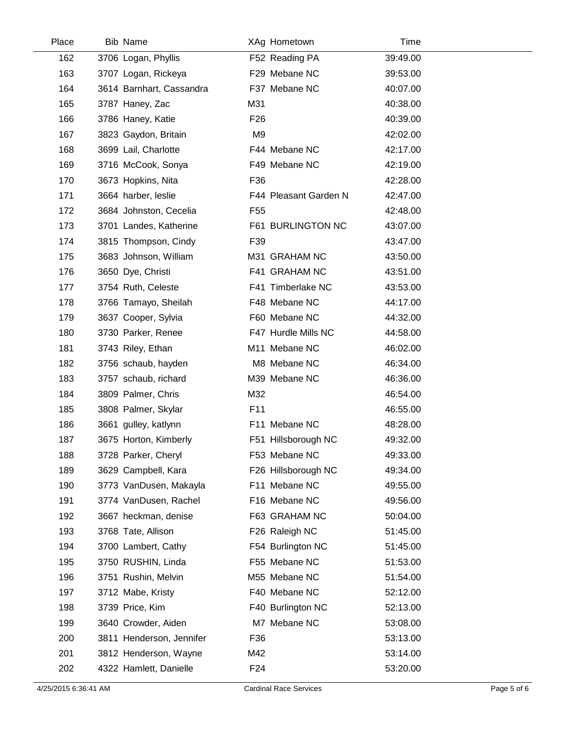| Place | <b>Bib Name</b>          |                 | XAg Hometown          | Time     |
|-------|--------------------------|-----------------|-----------------------|----------|
| 162   | 3706 Logan, Phyllis      |                 | F52 Reading PA        | 39:49.00 |
| 163   | 3707 Logan, Rickeya      |                 | F29 Mebane NC         | 39:53.00 |
| 164   | 3614 Barnhart, Cassandra |                 | F37 Mebane NC         | 40:07.00 |
| 165   | 3787 Haney, Zac          | M31             |                       | 40:38.00 |
| 166   | 3786 Haney, Katie        | F <sub>26</sub> |                       | 40:39.00 |
| 167   | 3823 Gaydon, Britain     | M9              |                       | 42:02.00 |
| 168   | 3699 Lail, Charlotte     |                 | F44 Mebane NC         | 42:17.00 |
| 169   | 3716 McCook, Sonya       |                 | F49 Mebane NC         | 42:19.00 |
| 170   | 3673 Hopkins, Nita       | F36             |                       | 42:28.00 |
| 171   | 3664 harber, leslie      |                 | F44 Pleasant Garden N | 42:47.00 |
| 172   | 3684 Johnston, Cecelia   | F <sub>55</sub> |                       | 42:48.00 |
| 173   | 3701 Landes, Katherine   |                 | F61 BURLINGTON NC     | 43:07.00 |
| 174   | 3815 Thompson, Cindy     | F39             |                       | 43:47.00 |
| 175   | 3683 Johnson, William    |                 | M31 GRAHAM NC         | 43:50.00 |
| 176   | 3650 Dye, Christi        |                 | F41 GRAHAM NC         | 43:51.00 |
| 177   | 3754 Ruth, Celeste       |                 | F41 Timberlake NC     | 43:53.00 |
| 178   | 3766 Tamayo, Sheilah     |                 | F48 Mebane NC         | 44:17.00 |
| 179   | 3637 Cooper, Sylvia      |                 | F60 Mebane NC         | 44:32.00 |
| 180   | 3730 Parker, Renee       |                 | F47 Hurdle Mills NC   | 44:58.00 |
| 181   | 3743 Riley, Ethan        |                 | M11 Mebane NC         | 46:02.00 |
| 182   | 3756 schaub, hayden      |                 | M8 Mebane NC          | 46:34.00 |
| 183   | 3757 schaub, richard     |                 | M39 Mebane NC         | 46:36.00 |
| 184   | 3809 Palmer, Chris       | M32             |                       | 46:54.00 |
| 185   | 3808 Palmer, Skylar      | F <sub>11</sub> |                       | 46:55.00 |
| 186   | 3661 gulley, katlynn     |                 | F11 Mebane NC         | 48:28.00 |
| 187   | 3675 Horton, Kimberly    |                 | F51 Hillsborough NC   | 49:32.00 |
| 188   | 3728 Parker, Cheryl      |                 | F53 Mebane NC         | 49:33.00 |
| 189   | 3629 Campbell, Kara      |                 | F26 Hillsborough NC   | 49:34.00 |
| 190   | 3773 VanDusen, Makayla   |                 | F11 Mebane NC         | 49:55.00 |
| 191   | 3774 VanDusen, Rachel    |                 | F16 Mebane NC         | 49:56.00 |
| 192   | 3667 heckman, denise     |                 | F63 GRAHAM NC         | 50:04.00 |
| 193   | 3768 Tate, Allison       |                 | F26 Raleigh NC        | 51:45.00 |
| 194   | 3700 Lambert, Cathy      |                 | F54 Burlington NC     | 51:45.00 |
| 195   | 3750 RUSHIN, Linda       |                 | F55 Mebane NC         | 51:53.00 |
| 196   | 3751 Rushin, Melvin      |                 | M55 Mebane NC         | 51:54.00 |
| 197   | 3712 Mabe, Kristy        |                 | F40 Mebane NC         | 52:12.00 |
| 198   | 3739 Price, Kim          |                 | F40 Burlington NC     | 52:13.00 |
| 199   | 3640 Crowder, Aiden      |                 | M7 Mebane NC          | 53:08.00 |
| 200   | 3811 Henderson, Jennifer | F36             |                       | 53:13.00 |
| 201   | 3812 Henderson, Wayne    | M42             |                       | 53:14.00 |
| 202   | 4322 Hamlett, Danielle   | F <sub>24</sub> |                       | 53:20.00 |
|       |                          |                 |                       |          |